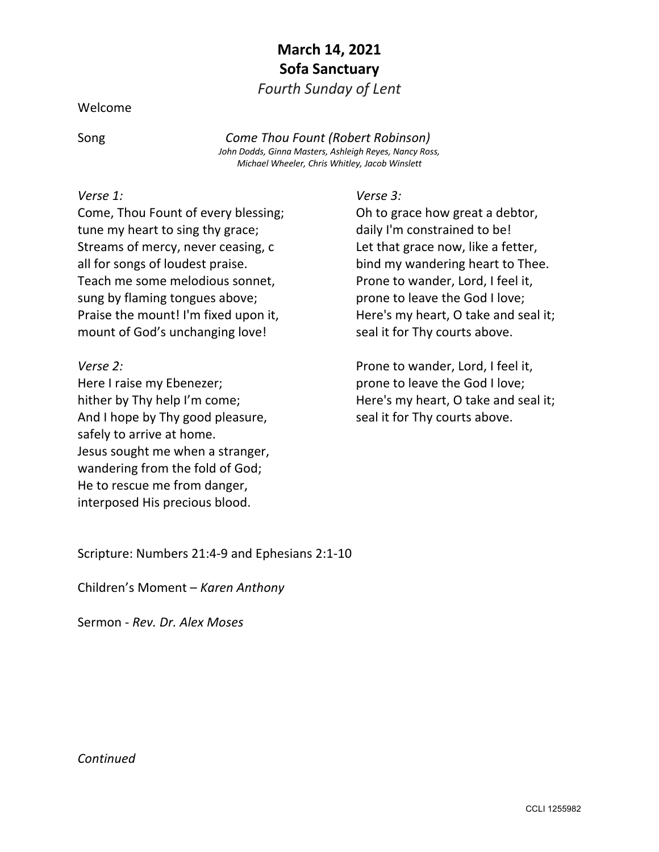## **March 14, 2021 Sofa Sanctuary**

*Fourth Sunday of Lent*

Welcome

Song *Come Thou Fount (Robert Robinson)*

*John Dodds, Ginna Masters, Ashleigh Reyes, Nancy Ross, Michael Wheeler, Chris Whitley, Jacob Winslett*

## *Verse 1:*

Come, Thou Fount of every blessing; tune my heart to sing thy grace; Streams of mercy, never ceasing, c all for songs of loudest praise. Teach me some melodious sonnet, sung by flaming tongues above; Praise the mount! I'm fixed upon it, mount of God's unchanging love!

*Verse 2:* Here I raise my Ebenezer; hither by Thy help I'm come; And I hope by Thy good pleasure, safely to arrive at home. Jesus sought me when a stranger, wandering from the fold of God; He to rescue me from danger, interposed His precious blood.

*Verse 3:* Oh to grace how great a debtor, daily I'm constrained to be! Let that grace now, like a fetter, bind my wandering heart to Thee. Prone to wander, Lord, I feel it, prone to leave the God I love; Here's my heart, O take and seal it; seal it for Thy courts above.

Prone to wander, Lord, I feel it, prone to leave the God I love; Here's my heart, O take and seal it; seal it for Thy courts above.

Scripture: Numbers 21:4-9 and Ephesians 2:1-10

Children's Moment – *Karen Anthony*

Sermon - *Rev. Dr. Alex Moses*

## *Continued*